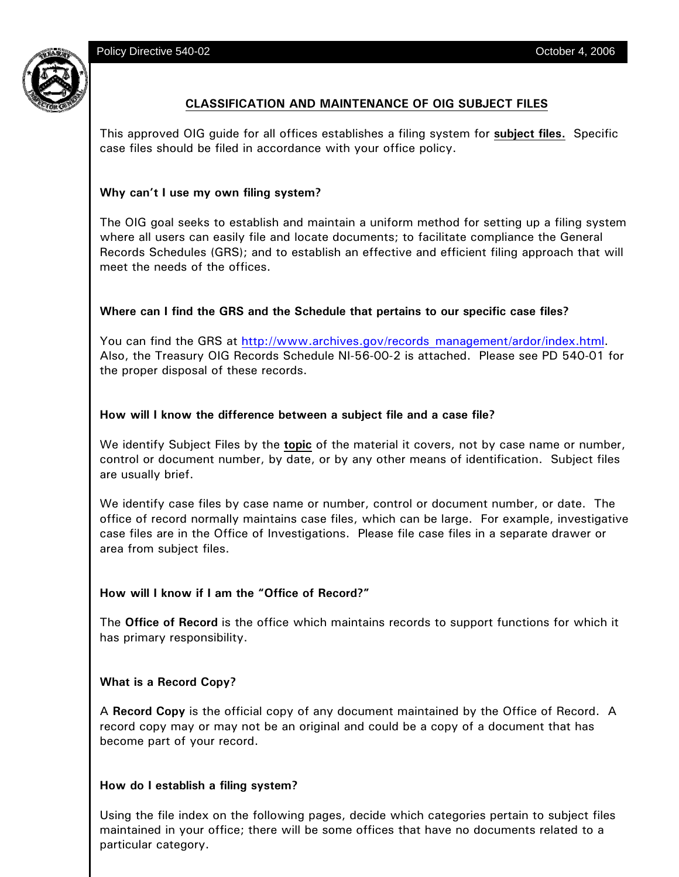Policy Directive 540-02 **Directive 540-02** October 4, 2006



# **CLASSIFICATION AND MAINTENANCE OF OIG SUBJECT FILES**

This approved OIG guide for all offices establishes a filing system for **subject files.** Specific case files should be filed in accordance with your office policy.

# **Why can't I use my own filing system?**

The OIG goal seeks to establish and maintain a uniform method for setting up a filing system where all users can easily file and locate documents; to facilitate compliance the General Records Schedules (GRS); and to establish an effective and efficient filing approach that will meet the needs of the offices.

# **Where can I find the GRS and the Schedule that pertains to our specific case files?**

You can find the GRS at http://www.archives.gov/records management/ardor/index.html. Also, the Treasury OIG Records Schedule NI-56-00-2 is attached. Please see PD 540-01 for the proper disposal of these records.

### **How will I know the difference between a subject file and a case file?**

We identify Subject Files by the **topic** of the material it covers, not by case name or number, control or document number, by date, or by any other means of identification. Subject files are usually brief.

We identify case files by case name or number, control or document number, or date. The office of record normally maintains case files, which can be large. For example, investigative case files are in the Office of Investigations. Please file case files in a separate drawer or area from subject files.

### **How will I know if I am the "Office of Record?"**

The **Office of Record** is the office which maintains records to support functions for which it has primary responsibility.

### **What is a Record Copy?**

A **Record Copy** is the official copy of any document maintained by the Office of Record. A record copy may or may not be an original and could be a copy of a document that has become part of your record.

### **How do I establish a filing system?**

Using the file index on the following pages, decide which categories pertain to subject files maintained in your office; there will be some offices that have no documents related to a particular category.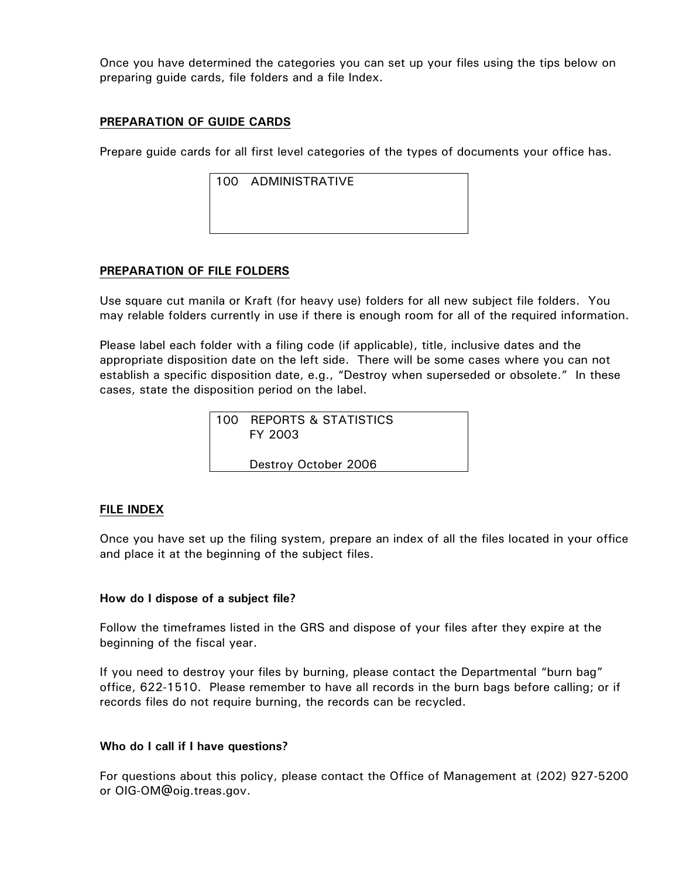Once you have determined the categories you can set up your files using the tips below on preparing guide cards, file folders and a file Index.

# **PREPARATION OF GUIDE CARDS**

Prepare guide cards for all first level categories of the types of documents your office has.

| 100 ADMINISTRATIVE |  |
|--------------------|--|
|                    |  |
|                    |  |
|                    |  |

# **PREPARATION OF FILE FOLDERS**

Use square cut manila or Kraft (for heavy use) folders for all new subject file folders. You may relable folders currently in use if there is enough room for all of the required information.

Please label each folder with a filing code (if applicable), title, inclusive dates and the appropriate disposition date on the left side. There will be some cases where you can not establish a specific disposition date, e.g., "Destroy when superseded or obsolete." In these cases, state the disposition period on the label.

| 100 REPORTS & STATISTICS<br>FY 2003 |
|-------------------------------------|
| Destroy October 2006                |

### **FILE INDEX**

Once you have set up the filing system, prepare an index of all the files located in your office and place it at the beginning of the subject files.

### **How do I dispose of a subject file?**

Follow the timeframes listed in the GRS and dispose of your files after they expire at the beginning of the fiscal year.

If you need to destroy your files by burning, please contact the Departmental "burn bag" office, 622-1510. Please remember to have all records in the burn bags before calling; or if records files do not require burning, the records can be recycled.

### **Who do I call if I have questions?**

For questions about this policy, please contact the Office of Management at (202) 927-5200 or OIG-OM@oig.treas.gov.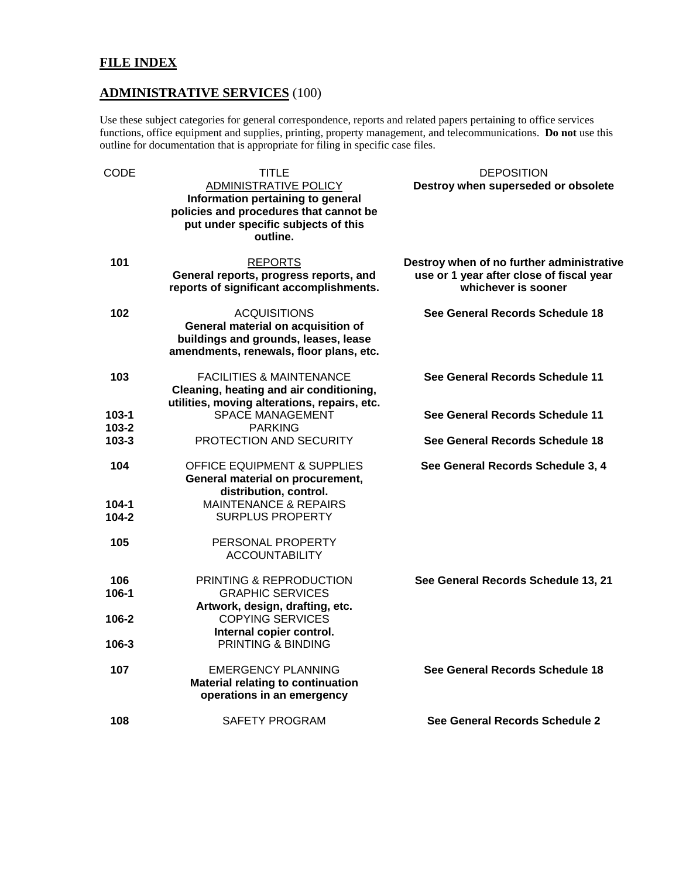# **FILE INDEX**

# **ADMINISTRATIVE SERVICES** (100)

Use these subject categories for general correspondence, reports and related papers pertaining to office services functions, office equipment and supplies, printing, property management, and telecommunications. **Do not** use this outline for documentation that is appropriate for filing in specific case files.

| <b>CODE</b>        | <b>TITLE</b><br><b>ADMINISTRATIVE POLICY</b>                                                                                                 | <b>DEPOSITION</b><br>Destroy when superseded or obsolete                                                     |
|--------------------|----------------------------------------------------------------------------------------------------------------------------------------------|--------------------------------------------------------------------------------------------------------------|
|                    | Information pertaining to general<br>policies and procedures that cannot be<br>put under specific subjects of this<br>outline.               |                                                                                                              |
| 101                | <b>REPORTS</b><br>General reports, progress reports, and<br>reports of significant accomplishments.                                          | Destroy when of no further administrative<br>use or 1 year after close of fiscal year<br>whichever is sooner |
| 102                | <b>ACQUISITIONS</b><br>General material on acquisition of<br>buildings and grounds, leases, lease<br>amendments, renewals, floor plans, etc. | See General Records Schedule 18                                                                              |
| 103                | <b>FACILITIES &amp; MAINTENANCE</b><br>Cleaning, heating and air conditioning,<br>utilities, moving alterations, repairs, etc.               | See General Records Schedule 11                                                                              |
| 103-1<br>103-2     | <b>SPACE MANAGEMENT</b><br><b>PARKING</b>                                                                                                    | See General Records Schedule 11                                                                              |
| $103 - 3$          | PROTECTION AND SECURITY                                                                                                                      | See General Records Schedule 18                                                                              |
| 104                | <b>OFFICE EQUIPMENT &amp; SUPPLIES</b><br>General material on procurement,<br>distribution, control.                                         | See General Records Schedule 3, 4                                                                            |
| 104-1<br>$104 - 2$ | <b>MAINTENANCE &amp; REPAIRS</b><br><b>SURPLUS PROPERTY</b>                                                                                  |                                                                                                              |
| 105                | PERSONAL PROPERTY<br><b>ACCOUNTABILITY</b>                                                                                                   |                                                                                                              |
| 106                | PRINTING & REPRODUCTION                                                                                                                      | See General Records Schedule 13, 21                                                                          |
| $106 - 1$          | <b>GRAPHIC SERVICES</b><br>Artwork, design, drafting, etc.                                                                                   |                                                                                                              |
| 106-2              | <b>COPYING SERVICES</b>                                                                                                                      |                                                                                                              |
| $106 - 3$          | Internal copier control.<br>PRINTING & BINDING                                                                                               |                                                                                                              |
| 107                | <b>EMERGENCY PLANNING</b><br>Material relating to continuation<br>operations in an emergency                                                 | See General Records Schedule 18                                                                              |
| 108                | <b>SAFETY PROGRAM</b>                                                                                                                        | See General Records Schedule 2                                                                               |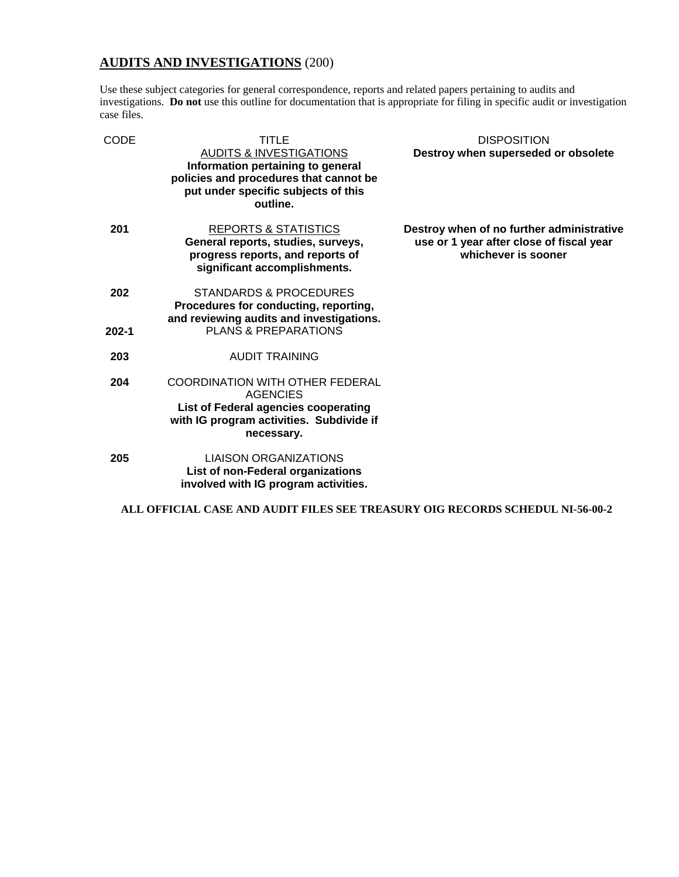# **AUDITS AND INVESTIGATIONS** (200)

Use these subject categories for general correspondence, reports and related papers pertaining to audits and investigations. **Do not** use this outline for documentation that is appropriate for filing in specific audit or investigation case files.

| CODE      | TITLE<br><b>AUDITS &amp; INVESTIGATIONS</b><br>Information pertaining to general<br>policies and procedures that cannot be<br>put under specific subjects of this<br>outline. | <b>DISPOSITION</b><br>Destroy when superseded or obsolete                                                    |
|-----------|-------------------------------------------------------------------------------------------------------------------------------------------------------------------------------|--------------------------------------------------------------------------------------------------------------|
| 201       | <b>REPORTS &amp; STATISTICS</b><br>General reports, studies, surveys,<br>progress reports, and reports of<br>significant accomplishments.                                     | Destroy when of no further administrative<br>use or 1 year after close of fiscal year<br>whichever is sooner |
| 202       | STANDARDS & PROCEDURES<br>Procedures for conducting, reporting,<br>and reviewing audits and investigations.                                                                   |                                                                                                              |
| $202 - 1$ | <b>PLANS &amp; PREPARATIONS</b>                                                                                                                                               |                                                                                                              |
| 203       | AUDIT TRAINING                                                                                                                                                                |                                                                                                              |
| 204       | <b>COORDINATION WITH OTHER FEDERAL</b><br><b>AGENCIES</b><br>List of Federal agencies cooperating<br>with IG program activities. Subdivide if<br>necessary.                   |                                                                                                              |
| 205       | <b>LIAISON ORGANIZATIONS</b><br>List of non-Federal organizations<br>involved with IG program activities.                                                                     |                                                                                                              |

**ALL OFFICIAL CASE AND AUDIT FILES SEE TREASURY OIG RECORDS SCHEDUL NI-56-00-2**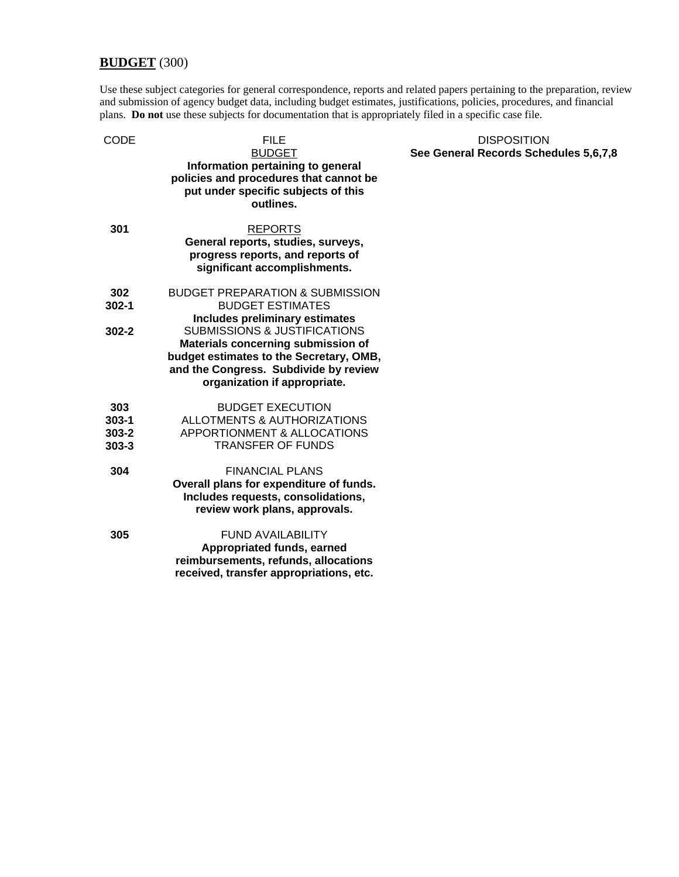# **BUDGET** (300)

Use these subject categories for general correspondence, reports and related papers pertaining to the preparation, review and submission of agency budget data, including budget estimates, justifications, policies, procedures, and financial plans. **Do not** use these subjects for documentation that is appropriately filed in a specific case file.

| CODE                                       | FILE<br><b>BUDGET</b><br>Information pertaining to general<br>policies and procedures that cannot be<br>put under specific subjects of this<br>outlines.                                          |
|--------------------------------------------|---------------------------------------------------------------------------------------------------------------------------------------------------------------------------------------------------|
| 301                                        | <b>REPORTS</b><br>General reports, studies, surveys,<br>progress reports, and reports of<br>significant accomplishments.                                                                          |
| 302<br>$302 - 1$                           | <b>BUDGET PREPARATION &amp; SUBMISSION</b><br><b>BUDGET ESTIMATES</b><br><b>Includes preliminary estimates</b>                                                                                    |
| 302-2                                      | <b>SUBMISSIONS &amp; JUSTIFICATIONS</b><br>Materials concerning submission of<br>budget estimates to the Secretary, OMB,<br>and the Congress. Subdivide by review<br>organization if appropriate. |
| 303<br>$303 - 1$<br>$303 - 2$<br>$303 - 3$ | <b>BUDGET EXECUTION</b><br>ALLOTMENTS & AUTHORIZATIONS<br><b>APPORTIONMENT &amp; ALLOCATIONS</b><br><b>TRANSFER OF FUNDS</b>                                                                      |
| 304                                        | <b>FINANCIAL PLANS</b><br>Overall plans for expenditure of funds.<br>Includes requests, consolidations,<br>review work plans, approvals.                                                          |
| 305                                        | <b>FUND AVAILABILITY</b><br>Appropriated funds, earned<br>reimbursements, refunds, allocations<br>received, transfer appropriations, etc.                                                         |

#### **DISPOSITION See General Records Schedules 5,6,7,8**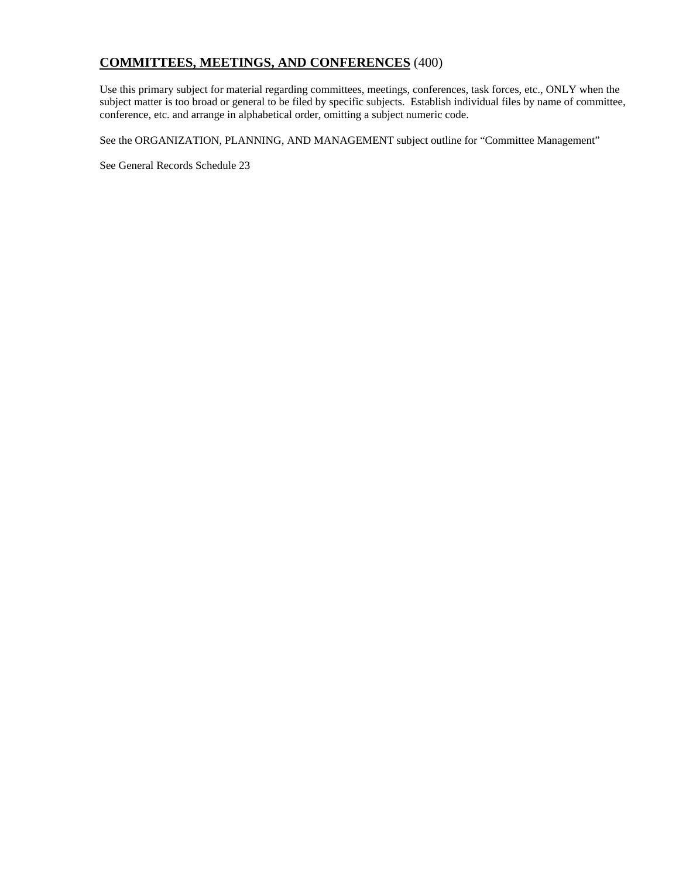# **COMMITTEES, MEETINGS, AND CONFERENCES** (400)

Use this primary subject for material regarding committees, meetings, conferences, task forces, etc., ONLY when the subject matter is too broad or general to be filed by specific subjects. Establish individual files by name of committee, conference, etc. and arrange in alphabetical order, omitting a subject numeric code.

See the ORGANIZATION, PLANNING, AND MANAGEMENT subject outline for "Committee Management"

See General Records Schedule 23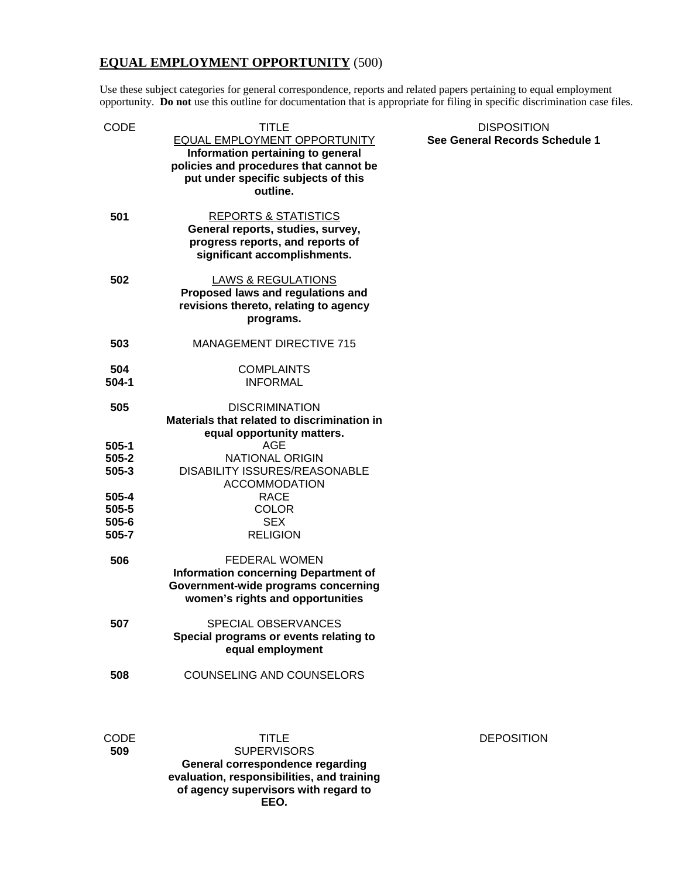# **EQUAL EMPLOYMENT OPPORTUNITY** (500)

Use these subject categories for general correspondence, reports and related papers pertaining to equal employment opportunity. **Do not** use this outline for documentation that is appropriate for filing in specific discrimination case files.

| CODE                                 | <b>TITLE</b><br>EQUAL EMPLOYMENT OPPORTUNITY<br>Information pertaining to general<br>policies and procedures that cannot be<br>put under specific subjects of this<br>outline. | <b>DISPOSITION</b><br>See General Records Schedule 1 |
|--------------------------------------|--------------------------------------------------------------------------------------------------------------------------------------------------------------------------------|------------------------------------------------------|
| 501                                  | <b>REPORTS &amp; STATISTICS</b><br>General reports, studies, survey,<br>progress reports, and reports of<br>significant accomplishments.                                       |                                                      |
| 502                                  | <b>LAWS &amp; REGULATIONS</b><br>Proposed laws and regulations and<br>revisions thereto, relating to agency<br>programs.                                                       |                                                      |
| 503                                  | <b>MANAGEMENT DIRECTIVE 715</b>                                                                                                                                                |                                                      |
| 504<br>$504 - 1$                     | <b>COMPLAINTS</b><br><b>INFORMAL</b>                                                                                                                                           |                                                      |
| 505                                  | <b>DISCRIMINATION</b><br>Materials that related to discrimination in<br>equal opportunity matters.                                                                             |                                                      |
| $505-1$<br>$505 - 2$<br>$505 - 3$    | <b>AGE</b><br><b>NATIONAL ORIGIN</b><br>DISABILITY ISSURES/REASONABLE<br><b>ACCOMMODATION</b>                                                                                  |                                                      |
| 505-4<br>505-5<br>$505 - 6$<br>505-7 | <b>RACE</b><br><b>COLOR</b><br><b>SEX</b><br><b>RELIGION</b>                                                                                                                   |                                                      |
| 506                                  | <b>FEDERAL WOMEN</b><br><b>Information concerning Department of</b><br>Government-wide programs concerning<br>women's rights and opportunities                                 |                                                      |
| 507                                  | <b>SPECIAL OBSERVANCES</b><br>Special programs or events relating to<br>equal employment                                                                                       |                                                      |
| 508                                  | COUNSELING AND COUNSELORS                                                                                                                                                      |                                                      |
| <b>CODE</b><br>509                   | TITLE<br><b>SUPERVISORS</b><br>General correspondence regarding<br>evaluation, responsibilities, and training<br>of agency supervisors with regard to<br>EEO.                  | <b>DEPOSITION</b>                                    |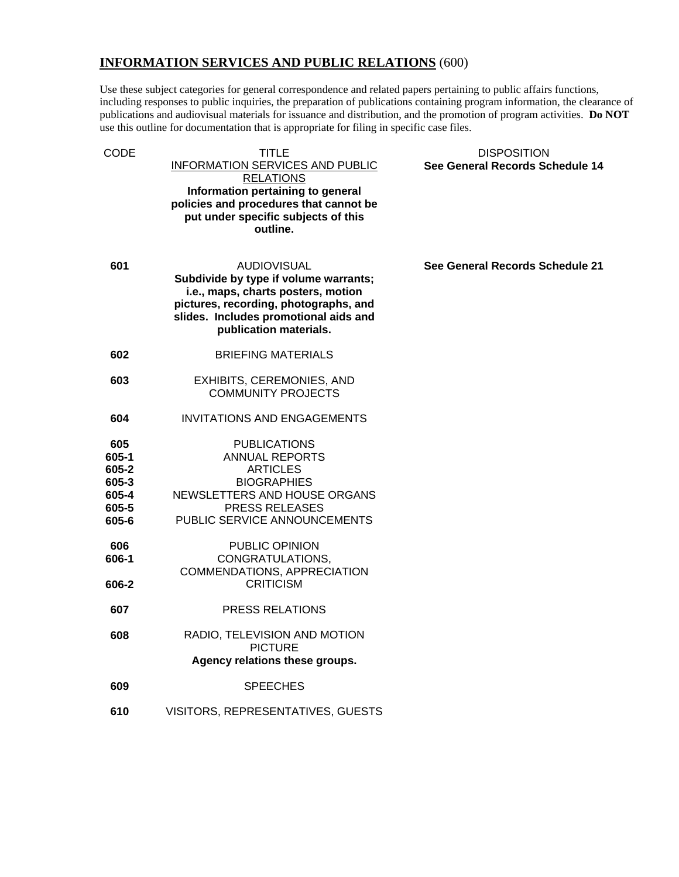# **INFORMATION SERVICES AND PUBLIC RELATIONS** (600)

Use these subject categories for general correspondence and related papers pertaining to public affairs functions, including responses to public inquiries, the preparation of publications containing program information, the clearance of publications and audiovisual materials for issuance and distribution, and the promotion of program activities. **Do NOT** use this outline for documentation that is appropriate for filing in specific case files.

| TITLE<br>INFORMATION SERVICES AND PUBLIC<br><b>RELATIONS</b><br>Information pertaining to general<br>policies and procedures that cannot be<br>put under specific subjects of this<br>outline.                | <b>DISPOSITION</b><br>See General Records Schedule 14 |
|---------------------------------------------------------------------------------------------------------------------------------------------------------------------------------------------------------------|-------------------------------------------------------|
| <b>AUDIOVISUAL</b><br>Subdivide by type if volume warrants;<br>i.e., maps, charts posters, motion<br>pictures, recording, photographs, and<br>slides. Includes promotional aids and<br>publication materials. | See General Records Schedule 21                       |
| <b>BRIEFING MATERIALS</b>                                                                                                                                                                                     |                                                       |
| <b>EXHIBITS, CEREMONIES, AND</b><br><b>COMMUNITY PROJECTS</b>                                                                                                                                                 |                                                       |
| <b>INVITATIONS AND ENGAGEMENTS</b>                                                                                                                                                                            |                                                       |
| <b>PUBLICATIONS</b><br><b>ANNUAL REPORTS</b><br><b>ARTICLES</b><br><b>BIOGRAPHIES</b><br>NEWSLETTERS AND HOUSE ORGANS<br><b>PRESS RELEASES</b><br>PUBLIC SERVICE ANNOUNCEMENTS                                |                                                       |
| PUBLIC OPINION<br>CONGRATULATIONS,<br>COMMENDATIONS, APPRECIATION<br><b>CRITICISM</b>                                                                                                                         |                                                       |
| <b>PRESS RELATIONS</b>                                                                                                                                                                                        |                                                       |
| RADIO, TELEVISION AND MOTION<br><b>PICTURE</b><br>Agency relations these groups.                                                                                                                              |                                                       |
| <b>SPEECHES</b>                                                                                                                                                                                               |                                                       |
| VISITORS, REPRESENTATIVES, GUESTS                                                                                                                                                                             |                                                       |
|                                                                                                                                                                                                               |                                                       |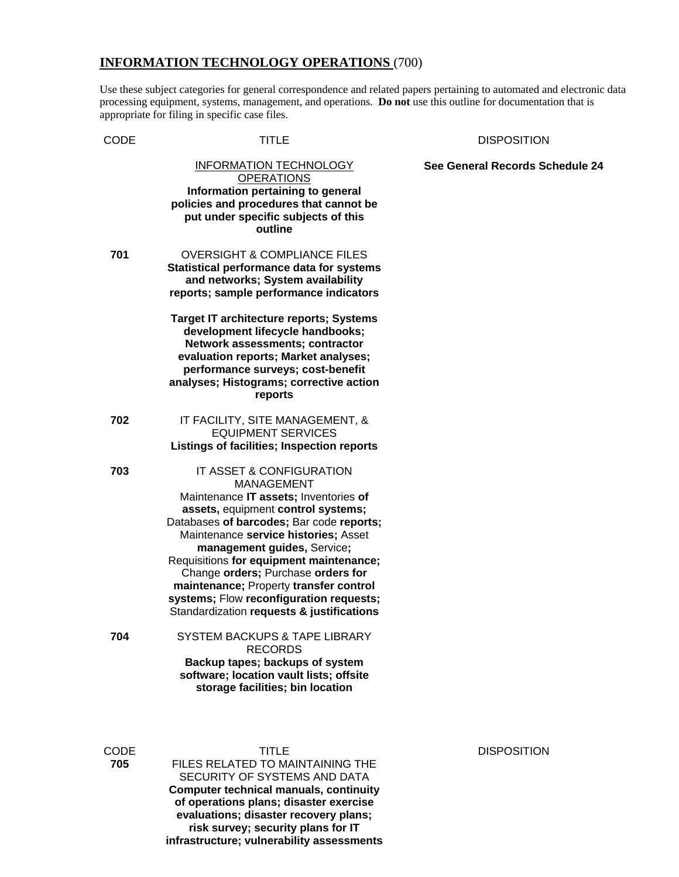#### **INFORMATION TECHNOLOGY OPERATIONS** (700)

Use these subject categories for general correspondence and related papers pertaining to automated and electronic data processing equipment, systems, management, and operations. **Do not** use this outline for documentation that is appropriate for filing in specific case files.

#### CODE TITLE DISPOSITION

INFORMATION TECHNOLOGY **OPERATIONS See General Records Schedule 24 Information pertaining to general policies and procedures that cannot be put under specific subjects of this outline 701** OVERSIGHT & COMPLIANCE FILES **Statistical performance data for systems and networks; System availability reports; sample performance indicators Target IT architecture reports; Systems development lifecycle handbooks; Network assessments; contractor evaluation reports; Market analyses; performance surveys; cost-benefit analyses; Histograms; corrective action reports 702** IT FACILITY, SITE MANAGEMENT, & EQUIPMENT SERVICES **Listings of facilities; Inspection reports 703** IT ASSET & CONFIGURATION MANAGEMENT Maintenance **IT assets;** Inventories **of assets,** equipment **control systems;**  Databases **of barcodes;** Bar code **reports;**  Maintenance **service histories;** Asset **management guides,** Service**;**  Requisitions **for equipment maintenance;**  Change **orders;** Purchase **orders for maintenance;** Property **transfer control systems;** Flow **reconfiguration requests;**  Standardization **requests & justifications 704** SYSTEM BACKUPS & TAPE LIBRARY RECORDS **Backup tapes; backups of system software; location vault lists; offsite storage facilities; bin location** 

CODE TITLE DISPOSITION **705** FILES RELATED TO MAINTAINING THE SECURITY OF SYSTEMS AND DATA **Computer technical manuals, continuity of operations plans; disaster exercise evaluations; disaster recovery plans; risk survey; security plans for IT infrastructure; vulnerability assessments**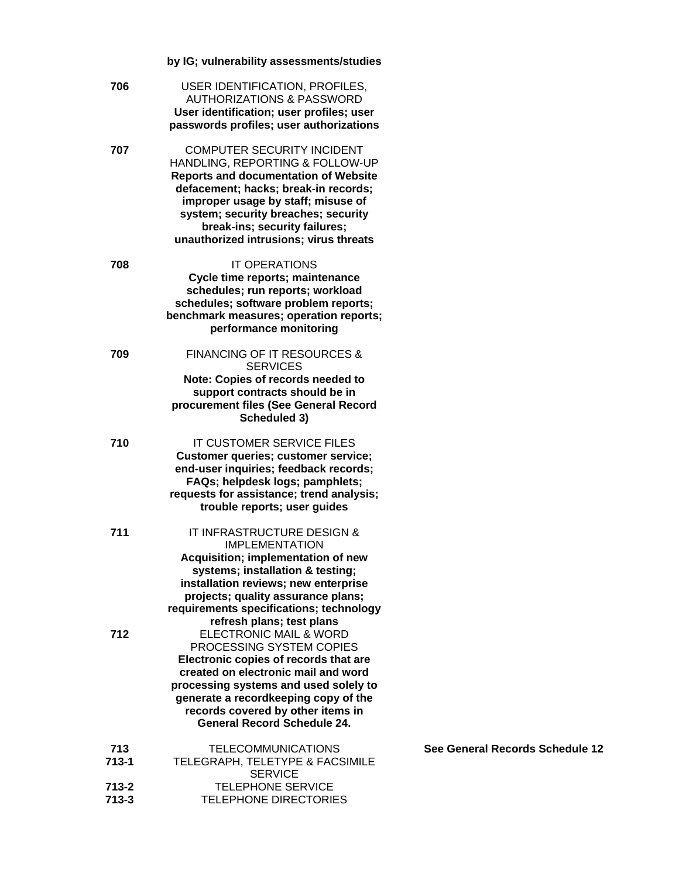|                        | by IG; vulnerability assessments/studies                                                                                                                                                                                                                                                                            |
|------------------------|---------------------------------------------------------------------------------------------------------------------------------------------------------------------------------------------------------------------------------------------------------------------------------------------------------------------|
| 706                    | USER IDENTIFICATION, PROFILES,<br><b>AUTHORIZATIONS &amp; PASSWORD</b><br>User identification; user profiles; user<br>passwords profiles; user authorizations                                                                                                                                                       |
| 707                    | <b>COMPUTER SECURITY INCIDENT</b><br>HANDLING, REPORTING & FOLLOW-UP<br><b>Reports and documentation of Website</b><br>defacement; hacks; break-in records;<br>improper usage by staff; misuse of<br>system; security breaches; security<br>break-ins; security failures;<br>unauthorized intrusions; virus threats |
| 708                    | <b>IT OPERATIONS</b><br>Cycle time reports; maintenance<br>schedules; run reports; workload<br>schedules; software problem reports;<br>benchmark measures; operation reports;<br>performance monitoring                                                                                                             |
| 709                    | <b>FINANCING OF IT RESOURCES &amp;</b><br><b>SERVICES</b><br>Note: Copies of records needed to<br>support contracts should be in<br>procurement files (See General Record<br>Scheduled 3)                                                                                                                           |
| 710                    | IT CUSTOMER SERVICE FILES<br><b>Customer queries; customer service;</b><br>end-user inquiries; feedback records;<br>FAQs; helpdesk logs; pamphlets;<br>requests for assistance; trend analysis;<br>trouble reports; user guides                                                                                     |
| 711                    | IT INFRASTRUCTURE DESIGN &<br>IMPLEMENTATION<br>Acquisition; implementation of new<br>systems; installation & testing;<br>installation reviews; new enterprise<br>projects; quality assurance plans;<br>requirements specifications; technology<br>refresh plans; test plans                                        |
| 712                    | <b>ELECTRONIC MAIL &amp; WORD</b><br>PROCESSING SYSTEM COPIES<br>Electronic copies of records that are<br>created on electronic mail and word<br>processing systems and used solely to<br>generate a recordkeeping copy of the<br>records covered by other items in<br><b>General Record Schedule 24.</b>           |
| 713<br>$713 - 1$       | <b>TELECOMMUNICATIONS</b><br>TELEGRAPH, TELETYPE & FACSIMILE                                                                                                                                                                                                                                                        |
| $713 - 2$<br>$713 - 3$ | <b>SERVICE</b><br><b>TELEPHONE SERVICE</b><br>TELEPHONE DIRECTORIES                                                                                                                                                                                                                                                 |

**See General Records Schedule 12**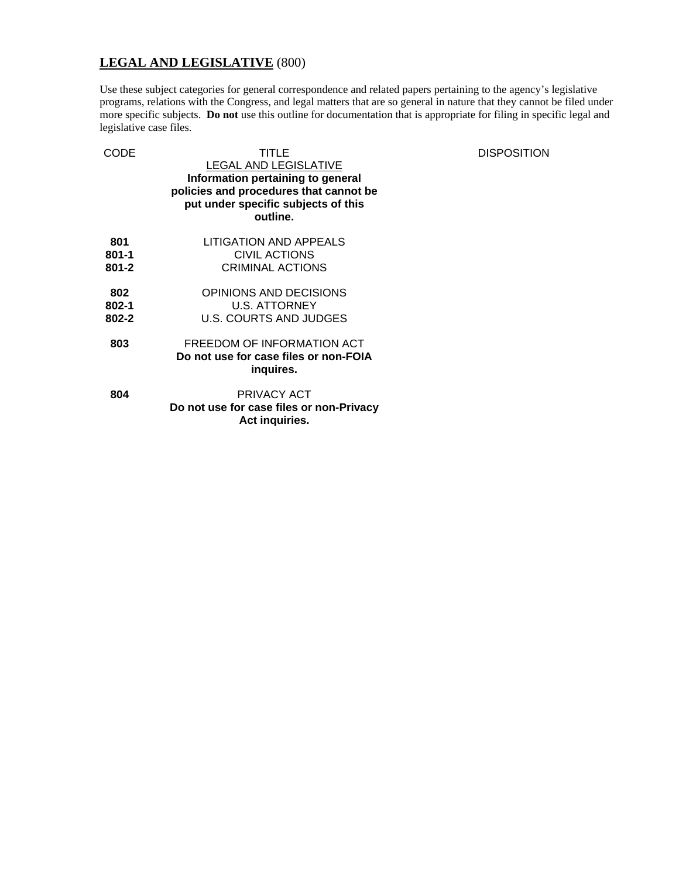# **LEGAL AND LEGISLATIVE** (800)

Use these subject categories for general correspondence and related papers pertaining to the agency's legislative programs, relations with the Congress, and legal matters that are so general in nature that they cannot be filed under more specific subjects. **Do not** use this outline for documentation that is appropriate for filing in specific legal and legislative case files.

| CODE                          | TITLE<br><b>LEGAL AND LEGISLATIVE</b><br>Information pertaining to general<br>policies and procedures that cannot be<br>put under specific subjects of this<br>outline. | <b>DISPOSITION</b> |
|-------------------------------|-------------------------------------------------------------------------------------------------------------------------------------------------------------------------|--------------------|
| 801<br>$801 - 1$<br>$801 - 2$ | LITIGATION AND APPEALS<br><b>CIVIL ACTIONS</b><br><b>CRIMINAL ACTIONS</b>                                                                                               |                    |
| 802<br>802-1<br>802-2         | OPINIONS AND DECISIONS<br>U.S. ATTORNEY<br>U.S. COURTS AND JUDGES                                                                                                       |                    |
| 803                           | FREEDOM OF INFORMATION ACT<br>Do not use for case files or non-FOIA<br>inquires.                                                                                        |                    |
| 804                           | PRIVACY ACT<br>Do not use for case files or non-Privacy<br>Act inquiries.                                                                                               |                    |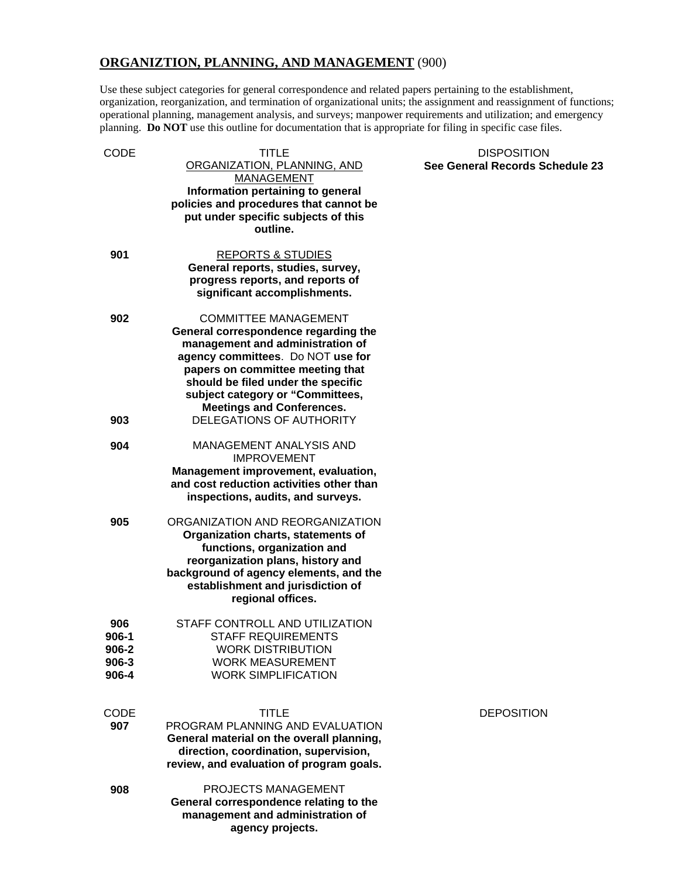# **ORGANIZTION, PLANNING, AND MANAGEMENT** (900)

Use these subject categories for general correspondence and related papers pertaining to the establishment, organization, reorganization, and termination of organizational units; the assignment and reassignment of functions; operational planning, management analysis, and surveys; manpower requirements and utilization; and emergency planning. **Do NOT** use this outline for documentation that is appropriate for filing in specific case files.

| CODE                                          | TITLE<br>ORGANIZATION, PLANNING, AND<br><b>MANAGEMENT</b>                                                                                                                                                                                                                                      | <b>DISPOSITION</b><br>See General Records Sc |
|-----------------------------------------------|------------------------------------------------------------------------------------------------------------------------------------------------------------------------------------------------------------------------------------------------------------------------------------------------|----------------------------------------------|
|                                               | Information pertaining to general<br>policies and procedures that cannot be<br>put under specific subjects of this<br>outline.                                                                                                                                                                 |                                              |
| 901                                           | <b>REPORTS &amp; STUDIES</b><br>General reports, studies, survey,<br>progress reports, and reports of<br>significant accomplishments.                                                                                                                                                          |                                              |
| 902                                           | <b>COMMITTEE MANAGEMENT</b><br>General correspondence regarding the<br>management and administration of<br>agency committees. Do NOT use for<br>papers on committee meeting that<br>should be filed under the specific<br>subject category or "Committees,<br><b>Meetings and Conferences.</b> |                                              |
| 903                                           | DELEGATIONS OF AUTHORITY                                                                                                                                                                                                                                                                       |                                              |
| 904                                           | <b>MANAGEMENT ANALYSIS AND</b><br><b>IMPROVEMENT</b><br>Management improvement, evaluation,<br>and cost reduction activities other than<br>inspections, audits, and surveys.                                                                                                                   |                                              |
| 905                                           | ORGANIZATION AND REORGANIZATION<br>Organization charts, statements of<br>functions, organization and<br>reorganization plans, history and<br>background of agency elements, and the<br>establishment and jurisdiction of<br>regional offices.                                                  |                                              |
| 906<br>$906-1$<br>906-2<br>$906 - 3$<br>906-4 | STAFF CONTROLL AND UTILIZATION<br><b>STAFF REQUIREMENTS</b><br><b>WORK DISTRIBUTION</b><br><b>WORK MEASUREMENT</b><br><b>WORK SIMPLIFICATION</b>                                                                                                                                               |                                              |
| <b>CODE</b><br>907                            | TITLE<br>PROGRAM PLANNING AND EVALUATION<br>General material on the overall planning,<br>direction, coordination, supervision,<br>review, and evaluation of program goals.                                                                                                                     | <b>DEPOSITION</b>                            |
| 908                                           | PROJECTS MANAGEMENT<br>General correspondence relating to the<br>management and administration of<br>agency projects.                                                                                                                                                                          |                                              |

# **Records Schedule 23**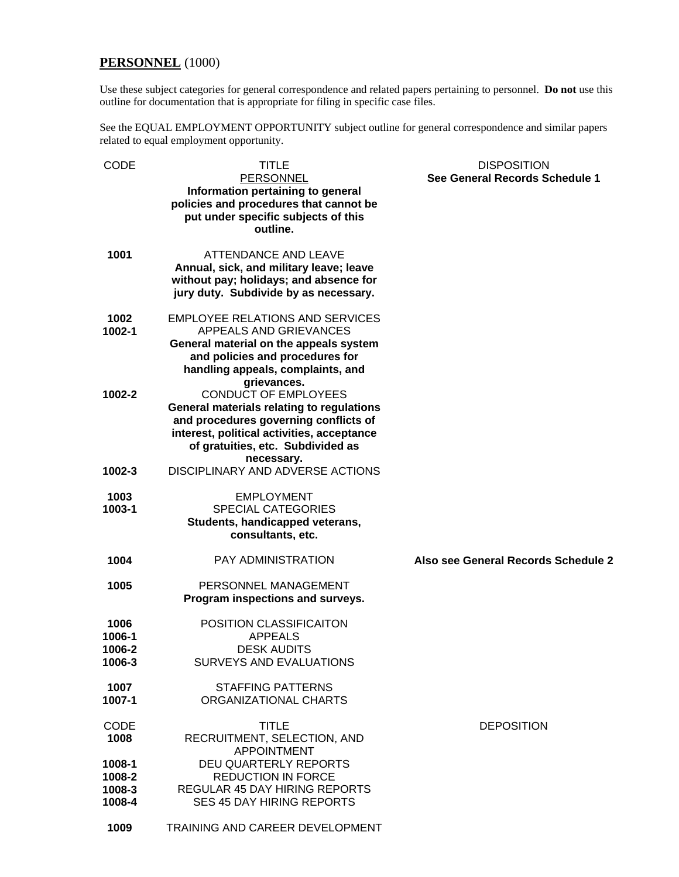# **PERSONNEL** (1000)

Use these subject categories for general correspondence and related papers pertaining to personnel. **Do not** use this outline for documentation that is appropriate for filing in specific case files.

See the EQUAL EMPLOYMENT OPPORTUNITY subject outline for general correspondence and similar papers related to equal employment opportunity.

| CODE        | <b>TITLE</b>                                                                      | <b>DISPOSITION</b>                  |
|-------------|-----------------------------------------------------------------------------------|-------------------------------------|
|             | <b>PERSONNEL</b>                                                                  | See General Records Schedule 1      |
|             | Information pertaining to general                                                 |                                     |
|             | policies and procedures that cannot be                                            |                                     |
|             | put under specific subjects of this                                               |                                     |
|             | outline.                                                                          |                                     |
|             |                                                                                   |                                     |
| 1001        | <b>ATTENDANCE AND LEAVE</b>                                                       |                                     |
|             | Annual, sick, and military leave; leave<br>without pay; holidays; and absence for |                                     |
|             | jury duty. Subdivide by as necessary.                                             |                                     |
|             |                                                                                   |                                     |
| 1002        | <b>EMPLOYEE RELATIONS AND SERVICES</b>                                            |                                     |
| 1002-1      | APPEALS AND GRIEVANCES                                                            |                                     |
|             | General material on the appeals system                                            |                                     |
|             | and policies and procedures for                                                   |                                     |
|             | handling appeals, complaints, and                                                 |                                     |
|             | grievances.                                                                       |                                     |
| 1002-2      | <b>CONDUCT OF EMPLOYEES</b>                                                       |                                     |
|             | General materials relating to regulations                                         |                                     |
|             | and procedures governing conflicts of                                             |                                     |
|             | interest, political activities, acceptance                                        |                                     |
|             | of gratuities, etc. Subdivided as                                                 |                                     |
|             | necessary.<br><b>DISCIPLINARY AND ADVERSE ACTIONS</b>                             |                                     |
| 1002-3      |                                                                                   |                                     |
| 1003        | <b>EMPLOYMENT</b>                                                                 |                                     |
| 1003-1      | <b>SPECIAL CATEGORIES</b>                                                         |                                     |
|             | Students, handicapped veterans,                                                   |                                     |
|             | consultants, etc.                                                                 |                                     |
|             |                                                                                   |                                     |
| 1004        | <b>PAY ADMINISTRATION</b>                                                         | Also see General Records Schedule 2 |
| 1005        | PERSONNEL MANAGEMENT                                                              |                                     |
|             | Program inspections and surveys.                                                  |                                     |
|             |                                                                                   |                                     |
| 1006        | POSITION CLASSIFICAITON                                                           |                                     |
| 1006-1      | <b>APPEALS</b>                                                                    |                                     |
| 1006-2      | <b>DESK AUDITS</b>                                                                |                                     |
| 1006-3      | <b>SURVEYS AND EVALUATIONS</b>                                                    |                                     |
| 1007        | <b>STAFFING PATTERNS</b>                                                          |                                     |
| 1007-1      | ORGANIZATIONAL CHARTS                                                             |                                     |
|             |                                                                                   |                                     |
| <b>CODE</b> | <b>TITLE</b>                                                                      | <b>DEPOSITION</b>                   |
| 1008        | RECRUITMENT, SELECTION, AND                                                       |                                     |
|             | <b>APPOINTMENT</b>                                                                |                                     |
| 1008-1      | <b>DEU QUARTERLY REPORTS</b>                                                      |                                     |
| 1008-2      | <b>REDUCTION IN FORCE</b>                                                         |                                     |
| 1008-3      | <b>REGULAR 45 DAY HIRING REPORTS</b>                                              |                                     |
| 1008-4      | <b>SES 45 DAY HIRING REPORTS</b>                                                  |                                     |
|             |                                                                                   |                                     |
| 1009        | TRAINING AND CAREER DEVELOPMENT                                                   |                                     |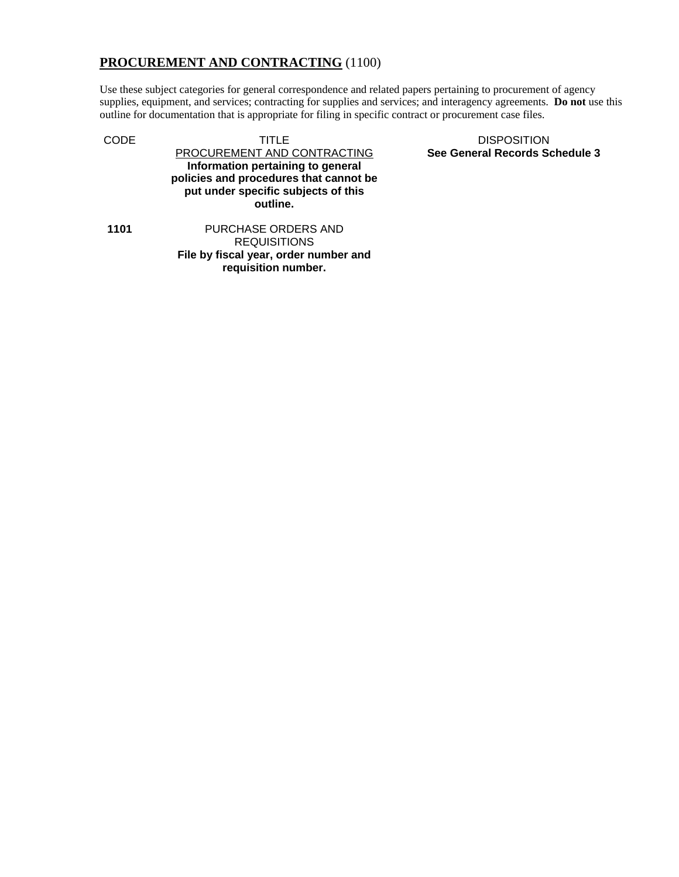# **PROCUREMENT AND CONTRACTING** (1100)

Use these subject categories for general correspondence and related papers pertaining to procurement of agency supplies, equipment, and services; contracting for supplies and services; and interagency agreements. **Do not** use this outline for documentation that is appropriate for filing in specific contract or procurement case files.

CODE TITLE TITLE DISPOSITION PROCUREMENT AND CONTRACTING **Information pertaining to general policies and procedures that cannot be put under specific subjects of this outline.** 

**1101** PURCHASE ORDERS AND REQUISITIONS **File by fiscal year, order number and requisition number.** 

**See General Records Schedule 3**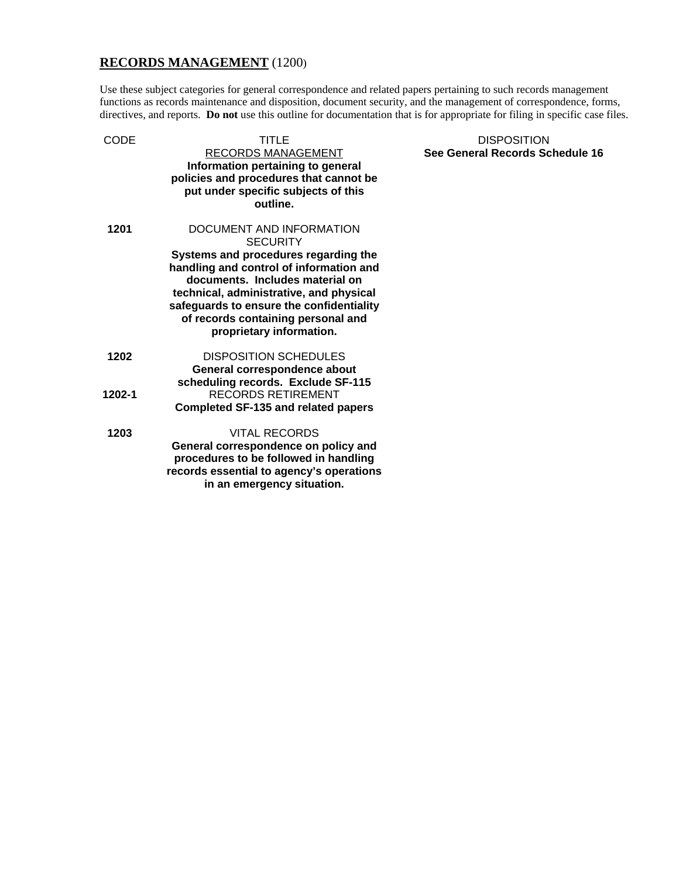# **RECORDS MANAGEMENT** (1200)

Use these subject categories for general correspondence and related papers pertaining to such records management functions as records maintenance and disposition, document security, and the management of correspondence, forms, directives, and reports. **Do not** use this outline for documentation that is for appropriate for filing in specific case files.

| CODE   | TITLE                                                                                                                                                                                                   | <b>DISPOSITION</b>              |
|--------|---------------------------------------------------------------------------------------------------------------------------------------------------------------------------------------------------------|---------------------------------|
|        | RECORDS MANAGEMENT<br>Information pertaining to general<br>policies and procedures that cannot be<br>put under specific subjects of this<br>outline.                                                    | See General Records Schedule 16 |
| 1201   | DOCUMENT AND INFORMATION<br><b>SECURITY</b><br>Systems and procedures regarding the                                                                                                                     |                                 |
|        | handling and control of information and<br>documents. Includes material on<br>technical, administrative, and physical<br>safeguards to ensure the confidentiality<br>of records containing personal and |                                 |
|        | proprietary information.                                                                                                                                                                                |                                 |
| 1202   | <b>DISPOSITION SCHEDULES</b><br>General correspondence about<br>scheduling records. Exclude SF-115                                                                                                      |                                 |
| 1202-1 | <b>RECORDS RETIREMENT</b><br><b>Completed SF-135 and related papers</b>                                                                                                                                 |                                 |
| 1203   | <b>VITAL RECORDS</b><br>General correspondence on policy and<br>procedures to be followed in handling<br>records essential to agency's operations<br>in an emergency situation.                         |                                 |
|        |                                                                                                                                                                                                         |                                 |